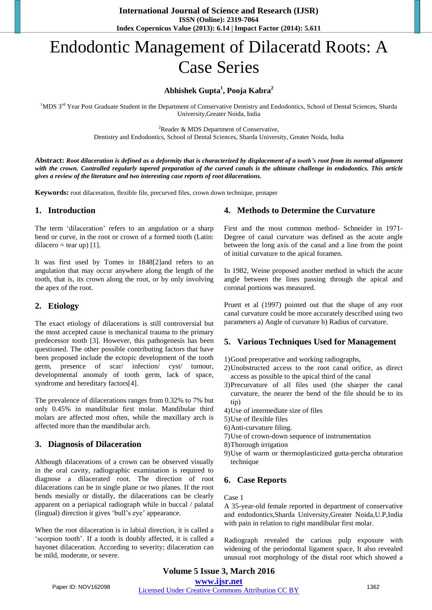# Endodontic Management of Dilaceratd Roots: A Case Series

# **Abhishek Gupta<sup>1</sup> , Pooja Kabra<sup>2</sup>**

<sup>1</sup>MDS 3<sup>rd</sup> Year Post Graduate Student in the Department of Conservative Dentistry and Endodontics, School of Dental Sciences, Sharda University,Greater Noida, India

<sup>2</sup>Reader & MDS Department of Conservative,

Dentistry and Endodontics, School of Dental Sciences, Sharda University, Greater Noida, India

**Abstract:** *Root dilaceration is defined as a deformity that is characterized by displacement of a tooth's root from its normal alignment*  with the crown. Controlled regularly tapered preparation of the curved canals is the ultimate challenge in endodontics. This article *gives a review of the literature and two interesting case reports of root dilacerations.* 

**Keywords:** root dilaceration, flexible file, precurved files, crown down technique, protaper

## **1. Introduction**

The term 'dilaceration' refers to an angulation or a sharp bend or curve, in the root or crown of a formed tooth (Latin: dilacero = tear up)  $[1]$ .

It was first used by Tomes in 1848[2]and refers to an angulation that may occur anywhere along the length of the tooth, that is, its crown along the root, or by only involving the apex of the root.

## **2. Etiology**

The exact etiology of dilacerations is still controversial but the most accepted cause is mechanical trauma to the primary predecessor tooth [3]. However, this pathogenesis has been questioned. The other possible contributing factors that have been proposed include the ectopic development of the tooth germ, presence of scar/ infection/ cyst/ tumour, developmental anomaly of tooth germ, lack of space, syndrome and hereditary factors[4].

The prevalence of dilacerations ranges from 0.32% to 7% but only 0.45% in mandibular first molar. Mandibular third molars are affected most often, while the maxillary arch is affected more than the mandibular arch.

# **3. Diagnosis of Dilaceration**

Although dilacerations of a crown can be observed visually in the oral cavity, radiographic examination is required to diagnose a dilacerated root. The direction of root dilacerations can be in single plane or two planes. If the root bends mesially or distally, the dilacerations can be clearly apparent on a periapical radiograph while in buccal / palatal (lingual) direction it gives 'bull's eye' appearance.

When the root dilaceration is in labial direction, it is called a 'scorpion tooth'. If a tooth is doubly affected, it is called a bayonet dilaceration. According to severity; dilaceration can be mild, moderate, or severe.

# **4. Methods to Determine the Curvature**

First and the most common method- Schneider in 1971- Degree of canal curvature was defined as the acute angle between the long axis of the canal and a line from the point of initial curvature to the apical foramen.

In 1982, Weine proposed another method in which the acute angle between the lines passing through the apical and coronal portions was measured.

Pruett et al (1997) pointed out that the shape of any root canal curvature could be more accurately described using two parameters a) Angle of curvature b) Radius of curvature.

## **5. Various Techniques Used for Management**

1)Good preoperative and working radiographs,

- 2)Unobstructed access to the root canal orifice, as direct access as possible to the apical third of the canal
- 3)Precurvature of all files used (the sharper the canal curvature, the nearer the bend of the file should be to its tip)
- 4)Use of intermediate size of files
- 5)Use of flexible files
- 6)Anti-curvature filing.
- 7)Use of crown-down sequence of instrumentation
- 8)Thorough irrigation
- 9)Use of warm or thermoplasticized gutta-percha obturation technique

## **6. Case Reports**

#### Case 1

A 35-year-old female reported in department of conservative and endodontics,Sharda University,Greater Noida,U.P,India with pain in relation to right mandibular first molar.

Radiograph revealed the carious pulp exposure with widening of the periodontal ligament space, It also revealed unusual root morphology of the distal root which showed a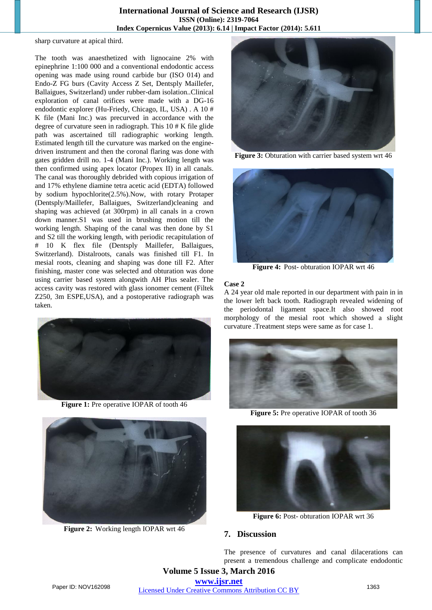#### **International Journal of Science and Research (IJSR) ISSN (Online): 2319-7064 Index Copernicus Value (2013): 6.14 | Impact Factor (2014): 5.611**

sharp curvature at apical third.

The tooth was anaesthetized with lignocaine 2% with epinephrine 1:100 000 and a conventional endodontic access opening was made using round carbide bur (ISO 014) and Endo-Z FG burs (Cavity Access Z Set, Dentsply Maillefer, Ballaigues, Switzerland) under rubber-dam isolation..Clinical exploration of canal orifices were made with a DG-16 endodontic explorer (Hu-Friedy, Chicago, IL, USA) . A 10 # K file (Mani Inc.) was precurved in accordance with the degree of curvature seen in radiograph. This 10 # K file glide path was ascertained till radiographic working length. Estimated length till the curvature was marked on the enginedriven instrument and then the coronal flaring was done with gates gridden drill no. 1-4 (Mani Inc.). Working length was then confirmed using apex locator (Propex II) in all canals. The canal was thoroughly debrided with copious irrigation of and 17% ethylene diamine tetra acetic acid (EDTA) followed by sodium hypochlorite(2.5%).Now, with rotary Protaper (Dentsply/Maillefer, Ballaigues, Switzerland)cleaning and shaping was achieved (at 300rpm) in all canals in a crown down manner.S1 was used in brushing motion till the working length. Shaping of the canal was then done by S1 and S2 till the working length, with periodic recapitulation of # 10 K flex file (Dentsply Maillefer, Ballaigues, Switzerland). Distalroots, canals was finished till F1. In mesial roots, cleaning and shaping was done till F2. After finishing, master cone was selected and obturation was done using carrier based system alongwith AH Plus sealer. The access cavity was restored with glass ionomer cement (Filtek Z250, 3m ESPE,USA), and a postoperative radiograph was taken.



**Figure 1:** Pre operative IOPAR of tooth 46



**Figure 2:** Working length IOPAR wrt 46



**Figure 3:** Obturation with carrier based system wrt 46



**Figure 4:** Post- obturation IOPAR wrt 46

#### **Case 2**

A 24 year old male reported in our department with pain in in the lower left back tooth. Radiograph revealed widening of the periodontal ligament space.It also showed root morphology of the mesial root which showed a slight curvature .Treatment steps were same as for case 1.



**Figure 5:** Pre operative IOPAR of tooth 36



**Figure 6:** Post- obturation IOPAR wrt 36

### **7. Discussion**

The presence of curvatures and canal dilacerations can present a tremendous challenge and complicate endodontic

**Volume 5 Issue 3, March 2016 www.ijsr.net**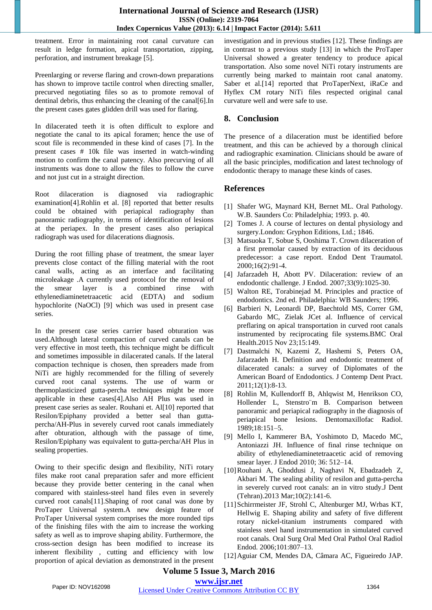treatment. Error in maintaining root canal curvature can result in ledge formation, apical transportation, zipping, perforation, and instrument breakage [5].

Preenlarging or reverse flaring and crown-down preparations has shown to improve tactile control when directing smaller, precurved negotiating files so as to promote removal of dentinal debris, thus enhancing the cleaning of the canal[6].In the present cases gates glidden drill was used for flaring.

In dilacerated teeth it is often difficult to explore and negotiate the canal to its apical foramen; hence the use of scout file is recommended in these kind of cases [7]. In the present cases # 10k file was inserted in watch-winding motion to confirm the canal patency. Also precurving of all instruments was done to allow the files to follow the curve and not just cut in a straight direction.

Root dilaceration is diagnosed via radiographic examination[4].Rohlin et al. [8] reported that better results could be obtained with periapical radiography than panoramic radiography, in terms of identification of lesions at the periapex. In the present cases also periapical radiograph was used for dilacerations diagnosis.

During the root filling phase of treatment, the smear layer prevents close contact of the filling material with the root canal walls, acting as an interface and facilitating microleakage .A currently used protocol for the removal of the smear layer is a combined rinse with ethylenediaminetetraacetic acid (EDTA) and sodium hypochlorite (NaOCl) [9] which was used in present case series.

In the present case series carrier based obturation was used.Although lateral compaction of curved canals can be very effective in most teeth, this technique might be difficult and sometimes impossible in dilacerated canals. If the lateral compaction technique is chosen, then spreaders made from NiTi are highly recommended for the filling of severely curved root canal systems. The use of warm or thermoplasticized gutta-percha techniques might be more applicable in these cases[4].Also AH Plus was used in present case series as sealer. Rouhani et. Al[10] reported that Resilon/Epiphany provided a better seal than guttapercha/AH-Plus in severely curved root canals immediately after obturation, although with the passage of time, Resilon/Epiphany was equivalent to gutta-percha/AH Plus in sealing properties.

Owing to their specific design and flexibility, NiTi rotary files make root canal preparation safer and more efficient because they provide better centering in the canal when compared with stainless-steel hand files even in severely curved root canals[11].Shaping of root canal was done by ProTaper Universal system.A new design feature of ProTaper Universal system comprises the more rounded tips of the finishing files with the aim to increase the working safety as well as to improve shaping ability. Furthermore, the cross-section design has been modified to increase its inherent flexibility , cutting and efficiency with low proportion of apical deviation as demonstrated in the present investigation and in previous studies [12]. These findings are in contrast to a previous study [13] in which the ProTaper Universal showed a greater tendency to produce apical transportation. Also some novel NiTi rotary instruments are currently being marked to maintain root canal anatomy. Saber et al.<sup>[14]</sup> reported that ProTaperNext, iRaCe and Hyflex CM rotary NiTi files respected original canal curvature well and were safe to use.

# **8. Conclusion**

The presence of a dilaceration must be identified before treatment, and this can be achieved by a thorough clinical and radiographic examination. Clinicians should be aware of all the basic principles, modification and latest technology of endodontic therapy to manage these kinds of cases.

# **References**

- [1] Shafer WG, Maynard KH, Bernet ML. Oral Pathology. W.B. Saunders Co: Philadelphia; 1993. p. 40.
- [2] Tomes J. A course of lectures on dental physiology and surgery.London: Gryphon Editions, Ltd.; 1846.
- [3] Matsuoka T, Sobue S, Ooshima T. Crown dilaceration of a first premolar caused by extraction of its deciduous predecessor: a case report. Endod Dent Traumatol. 2000;16(2):91-4.
- [4] Jafarzadeh H, Abott PV. Dilaceration: review of an endodontic challenge. J Endod. 2007;33(9):1025-30.
- [5] Walton RE, Torabinejad M. Principles and practice of endodontics. 2nd ed. Philadelphia: WB Saunders; 1996.
- [6] Barbieri N, Leonardi DP, Baechtold MS, Correr GM, Gabardo MC, Zielak JCet al. Influence of cervical preflaring on apical transportation in curved root canals instrumented by reciprocating file systems.BMC Oral Health.2015 Nov 23;15:149.
- [7] Dastmalchi N, Kazemi Z, Hashemi S, Peters OA, Jafarzadeh H. Definition and endodontic treatment of dilacerated canals: a survey of Diplomates of the American Board of Endodontics. J Contemp Dent Pract. 2011;12(1):8-13.
- [8] Rohlin M, Kullendorff B, Ahlqwist M, Henrikson CO, Hollender L, Stenstro¨m B. Comparison between panoramic and periapical radiography in the diagnosis of periapical bone lesions. Dentomaxillofac Radiol. 1989;18:151–5.
- [9] Mello I, Kammerer BA, Yoshimoto D, Macedo MC, Antoniazzi JH. Influence of final rinse technique on ability of ethylenediaminetetraacetic acid of removing smear layer. J Endod 2010; 36: 512–14.
- [10]Rouhani A, Ghoddusi J, Naghavi N, Ebadzadeh Z, Akbari M. The sealing ability of resilon and gutta-percha in severely curved root canals: an in vitro study.J Dent (Tehran).2013 Mar;10(2):141-6.
- [11]Schirrmeister JF, Strohl C, Altenburger MJ, Wrbas KT, Hellwig E. Shaping ability and safety of five different rotary nickel-titanium instruments compared with stainless steel hand instrumentation in simulated curved root canals. Oral Surg Oral Med Oral Pathol Oral Radiol Endod. 2006;101:807–13.
- [12]Aguiar CM, Mendes DA, Câmara AC, Figueiredo JAP.